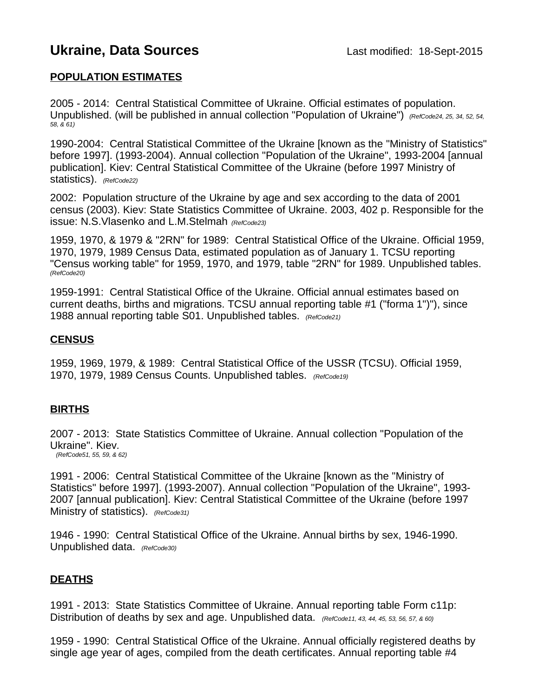# **Ukraine, Data Sources Last modified: 18-Sept-2015**

## **POPULATION ESTIMATES**

2005 - 2014: Central Statistical Committee of Ukraine. Official estimates of population. Unpublished. (will be published in annual collection "Population of Ukraine") *(RefCode24, 25, 34, 52, 54, 58, & 61)*

1990-2004: Central Statistical Committee of the Ukraine [known as the "Ministry of Statistics" before 1997]. (1993-2004). Annual collection "Population of the Ukraine", 1993-2004 [annual publication]. Kiev: Central Statistical Committee of the Ukraine (before 1997 Ministry of statistics). *(RefCode22)*

2002: Population structure of the Ukraine by age and sex according to the data of 2001 census (2003). Kiev: State Statistics Committee of Ukraine. 2003, 402 p. Responsible for the issue: N.S.Vlasenko and L.M.Stelmah *(RefCode23)*

1959, 1970, & 1979 & "2RN" for 1989: Central Statistical Office of the Ukraine. Official 1959, 1970, 1979, 1989 Census Data, estimated population as of January 1. TCSU reporting "Census working table" for 1959, 1970, and 1979, table "2RN" for 1989. Unpublished tables. *(RefCode20)*

1959-1991: Central Statistical Office of the Ukraine. Official annual estimates based on current deaths, births and migrations. TCSU annual reporting table #1 ("forma 1")"), since 1988 annual reporting table S01. Unpublished tables. *(RefCode21)*

### **CENSUS**

1959, 1969, 1979, & 1989: Central Statistical Office of the USSR (TCSU). Official 1959, 1970, 1979, 1989 Census Counts. Unpublished tables. *(RefCode19)*

## **BIRTHS**

2007 - 2013: State Statistics Committee of Ukraine. Annual collection "Population of the Ukraine". Kiev*. (RefCode51, 55, 59, & 62)*

1991 - 2006: Central Statistical Committee of the Ukraine [known as the "Ministry of Statistics" before 1997]. (1993-2007). Annual collection "Population of the Ukraine", 1993- 2007 [annual publication]. Kiev: Central Statistical Committee of the Ukraine (before 1997 Ministry of statistics). *(RefCode31)*

1946 - 1990: Central Statistical Office of the Ukraine. Annual births by sex, 1946-1990. Unpublished data. *(RefCode30)*

#### **DEATHS**

1991 - 2013: State Statistics Committee of Ukraine. Annual reporting table Form c11p: Distribution of deaths by sex and age. Unpublished data. *(RefCode11, 43, 44, 45, 53, 56, 57, & 60)* 

1959 - 1990: Central Statistical Office of the Ukraine. Annual officially registered deaths by single age year of ages, compiled from the death certificates. Annual reporting table #4